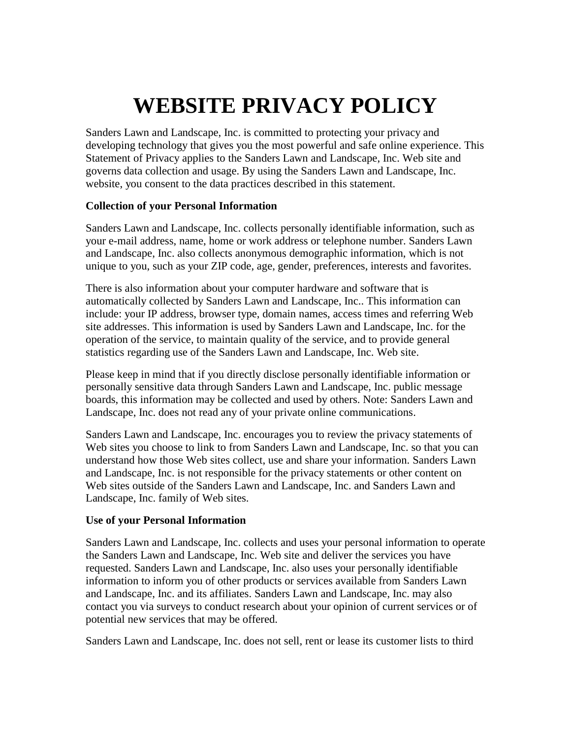# **WEBSITE PRIVACY POLICY**

Sanders Lawn and Landscape, Inc. is committed to protecting your privacy and developing technology that gives you the most powerful and safe online experience. This Statement of Privacy applies to the Sanders Lawn and Landscape, Inc. Web site and governs data collection and usage. By using the Sanders Lawn and Landscape, Inc. website, you consent to the data practices described in this statement.

## **Collection of your Personal Information**

Sanders Lawn and Landscape, Inc. collects personally identifiable information, such as your e-mail address, name, home or work address or telephone number. Sanders Lawn and Landscape, Inc. also collects anonymous demographic information, which is not unique to you, such as your ZIP code, age, gender, preferences, interests and favorites.

There is also information about your computer hardware and software that is automatically collected by Sanders Lawn and Landscape, Inc.. This information can include: your IP address, browser type, domain names, access times and referring Web site addresses. This information is used by Sanders Lawn and Landscape, Inc. for the operation of the service, to maintain quality of the service, and to provide general statistics regarding use of the Sanders Lawn and Landscape, Inc. Web site.

Please keep in mind that if you directly disclose personally identifiable information or personally sensitive data through Sanders Lawn and Landscape, Inc. public message boards, this information may be collected and used by others. Note: Sanders Lawn and Landscape, Inc. does not read any of your private online communications.

Sanders Lawn and Landscape, Inc. encourages you to review the privacy statements of Web sites you choose to link to from Sanders Lawn and Landscape, Inc. so that you can understand how those Web sites collect, use and share your information. Sanders Lawn and Landscape, Inc. is not responsible for the privacy statements or other content on Web sites outside of the Sanders Lawn and Landscape, Inc. and Sanders Lawn and Landscape, Inc. family of Web sites.

### **Use of your Personal Information**

Sanders Lawn and Landscape, Inc. collects and uses your personal information to operate the Sanders Lawn and Landscape, Inc. Web site and deliver the services you have requested. Sanders Lawn and Landscape, Inc. also uses your personally identifiable information to inform you of other products or services available from Sanders Lawn and Landscape, Inc. and its affiliates. Sanders Lawn and Landscape, Inc. may also contact you via surveys to conduct research about your opinion of current services or of potential new services that may be offered.

Sanders Lawn and Landscape, Inc. does not sell, rent or lease its customer lists to third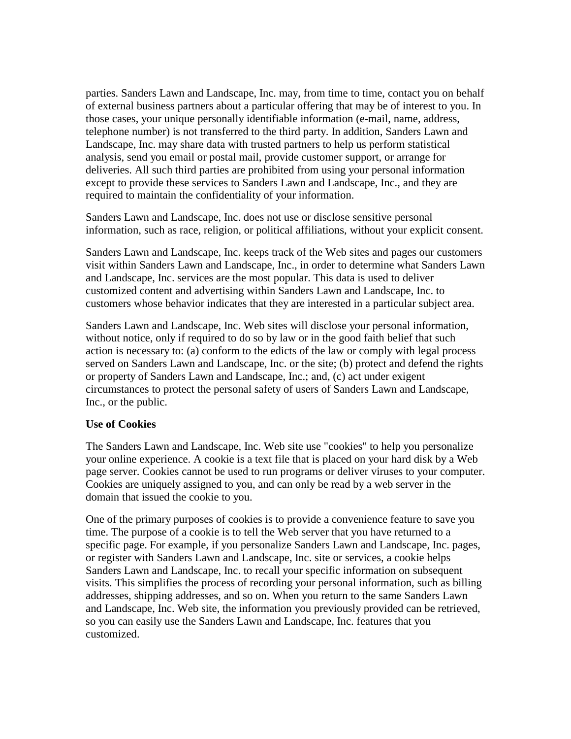parties. Sanders Lawn and Landscape, Inc. may, from time to time, contact you on behalf of external business partners about a particular offering that may be of interest to you. In those cases, your unique personally identifiable information (e-mail, name, address, telephone number) is not transferred to the third party. In addition, Sanders Lawn and Landscape, Inc. may share data with trusted partners to help us perform statistical analysis, send you email or postal mail, provide customer support, or arrange for deliveries. All such third parties are prohibited from using your personal information except to provide these services to Sanders Lawn and Landscape, Inc., and they are required to maintain the confidentiality of your information.

Sanders Lawn and Landscape, Inc. does not use or disclose sensitive personal information, such as race, religion, or political affiliations, without your explicit consent.

Sanders Lawn and Landscape, Inc. keeps track of the Web sites and pages our customers visit within Sanders Lawn and Landscape, Inc., in order to determine what Sanders Lawn and Landscape, Inc. services are the most popular. This data is used to deliver customized content and advertising within Sanders Lawn and Landscape, Inc. to customers whose behavior indicates that they are interested in a particular subject area.

Sanders Lawn and Landscape, Inc. Web sites will disclose your personal information, without notice, only if required to do so by law or in the good faith belief that such action is necessary to: (a) conform to the edicts of the law or comply with legal process served on Sanders Lawn and Landscape, Inc. or the site; (b) protect and defend the rights or property of Sanders Lawn and Landscape, Inc.; and, (c) act under exigent circumstances to protect the personal safety of users of Sanders Lawn and Landscape, Inc., or the public.

#### **Use of Cookies**

The Sanders Lawn and Landscape, Inc. Web site use "cookies" to help you personalize your online experience. A cookie is a text file that is placed on your hard disk by a Web page server. Cookies cannot be used to run programs or deliver viruses to your computer. Cookies are uniquely assigned to you, and can only be read by a web server in the domain that issued the cookie to you.

One of the primary purposes of cookies is to provide a convenience feature to save you time. The purpose of a cookie is to tell the Web server that you have returned to a specific page. For example, if you personalize Sanders Lawn and Landscape, Inc. pages, or register with Sanders Lawn and Landscape, Inc. site or services, a cookie helps Sanders Lawn and Landscape, Inc. to recall your specific information on subsequent visits. This simplifies the process of recording your personal information, such as billing addresses, shipping addresses, and so on. When you return to the same Sanders Lawn and Landscape, Inc. Web site, the information you previously provided can be retrieved, so you can easily use the Sanders Lawn and Landscape, Inc. features that you customized.